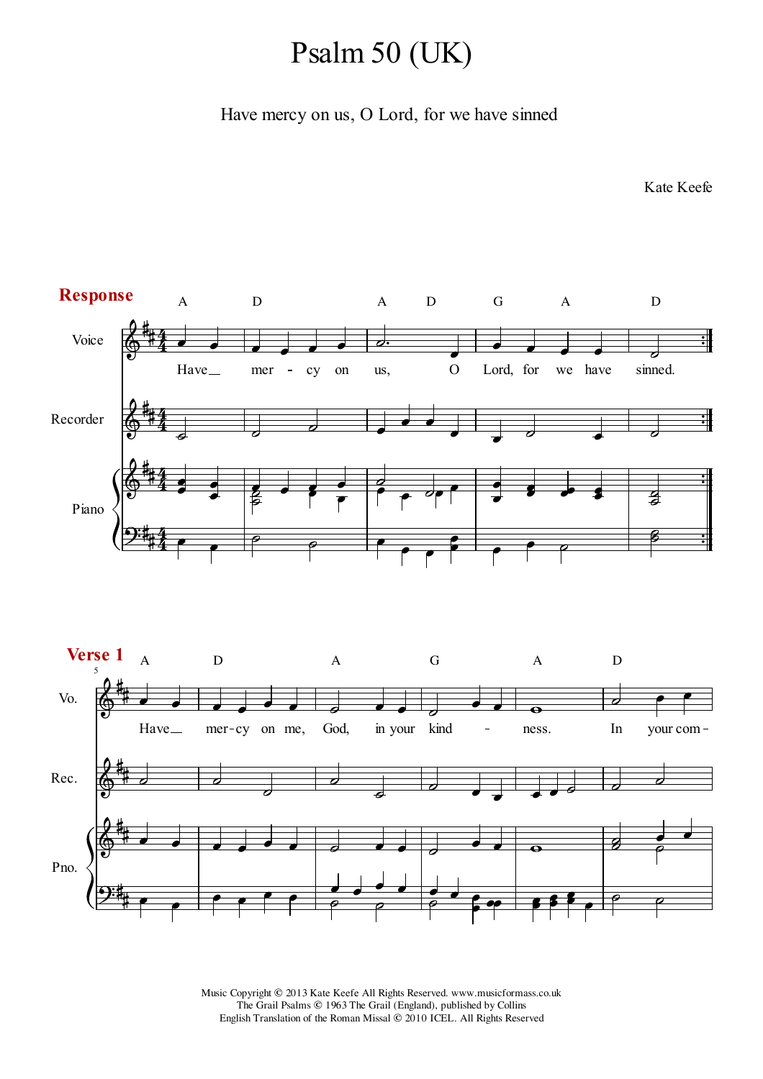## Psalm 50 (UK)

Have mercy on us, O Lord, for we have sinned

5 Voice Piano Recorder Vo. Rec. Pno.  $\frac{1}{\cdot}$  $\frac{1}{1}$  $\overline{\cdot}$  $\frac{1}{1}$  $\frac{1}{2}$  $\frac{1}{\cdot}$  $\frac{1}{\cdot}$  $\frac{1}{\cdot}$  $\overrightarrow{a}$   $\overrightarrow{b}$   $\overrightarrow{c}$   $\overrightarrow{c}$  $\overline{\phantom{a}}$  $\begin{array}{ccc} \bullet & \bullet & \bullet & \bullet & \bullet \end{array}$  $\overline{\bullet}$  $\overline{\phantom{a}}$  $\overline{\phantom{a}}$  $\overline{\overline{}}$  $\overline{\phantom{a}}$  $\frac{1}{2}$  $\overline{\bullet}$  $\overline{\phantom{a}}$  $\bullet$  $\overline{\phantom{a}}$  $\frac{1}{\sigma}$  $\overline{\bullet}$ g  $\overline{\phantom{a}}$  $\overline{\phantom{a}}$  $\overline{ }$  $\overline{\bullet}$  $\overline{\bullet}$  $\frac{1}{2}$  $\overline{\bullet}$  $\overline{\phantom{a}}$  $\frac{1}{2}$  $\overline{\phantom{a}}$ e<br>P  $\overline{\phantom{a}}$  $\overrightarrow{a}$  $\overline{\phantom{a}}$  $\overline{\phantom{0}}$  $\frac{1}{2}$  $\overrightarrow{a}$  $\frac{1}{2}$  $\exists$  $\overline{\phantom{a}}$  $\overline{\bullet}$  $\overline{\phantom{0}}$  $\overline{\phantom{a}}$  $\overline{\phantom{a}}$  $\overline{\phantom{a}}$  $\overline{\bullet}$  $\overrightarrow{a}$  $\overline{\phantom{a}}$  $\frac{\bullet}{\rho}$  $\overline{\bullet}$  $\mathbf{I}$  $\frac{1}{\varrho}$  $\downarrow$  $\overline{ }$  $\frac{1}{2}$  $\overline{\phantom{a}}$  $\overline{\phantom{0}}$  $\overline{ }$  $\overline{\phantom{a}}$  $\overline{ }$  $\overline{\bullet}$  $\overline{\bullet}$  $\overline{\phantom{a}}$  $\overline{ }$  $\overline{\phantom{0}}$  $\overline{\phantom{a}}$  $\bullet$  $\overline{\phantom{a}}$  $\overline{a}$  $\frac{1}{2}$  $\overline{ }$  $\overline{\phantom{a}}$  $\overline{\bullet}$  $\frac{1}{2}$  $\overline{\phantom{a}}$  $\overline{\phantom{a}}$  $\frac{1}{2}$  $\overline{\phantom{a}}$  $\overline{\phantom{a}}$  $\overline{\phantom{a}}$  $\overline{\phantom{a}}$  $\overline{\bullet}$  $\overline{\bullet}$  $\overline{\phantom{a}}$  $\overline{\mathbf{z}}$  $\frac{1}{2}$  $\frac{1}{2}$  $\frac{1}{2}$  $\frac{1}{2}$  $\overline{\phantom{a}}$  $\overline{\bullet}$  $\overline{\phantom{a}}$  $\overline{\phantom{a}}$  $\frac{1}{2}$  $\overline{\phantom{a}}$  $\overline{\bullet}$  $\frac{1}{\epsilon}$  $\overrightarrow{\cdot}$  $\frac{\bullet}{\rho}$  $\overline{\phantom{a}}$   $\overline{\bullet}$  $\overline{\bullet}$  $\overline{\bullet\,}$  $\overline{\mathbf{z}}$  $\frac{1}{2}$  $\overrightarrow{\bullet}$  $\frac{\bullet}{\varphi}$  $\overline{ }$  $\begin{array}{c|c} & \rho & \rho \end{array}$  $\overline{\phantom{0}}$ ▓ ...<br>9:4 « 《 《 《 《 .<br>9:4 j<br>I ł. i<br>L ł. j<br>L ł. j<br>I ł. j<br>I ł. j<br>L ł. j<br>I ł. Ï ł. 4 4 4 4 4 4 4 4<br>4 Have mer - cy on us, O Lord, for we have sinned. Have mer-cy on me, God, in your kind - ness. In your com-**Response Verse 1** A D A D G A D A D A G A D  $\frac{1}{2}$ 

> Music Copyright © 2013 Kate Keefe All Rights Reserved. www.musicformass.co.uk The Grail Psalms © 1963 The Grail (England), published by Collins English Translation of the Roman Missal © 2010 ICEL. All Rights Reserved

Kate Keefe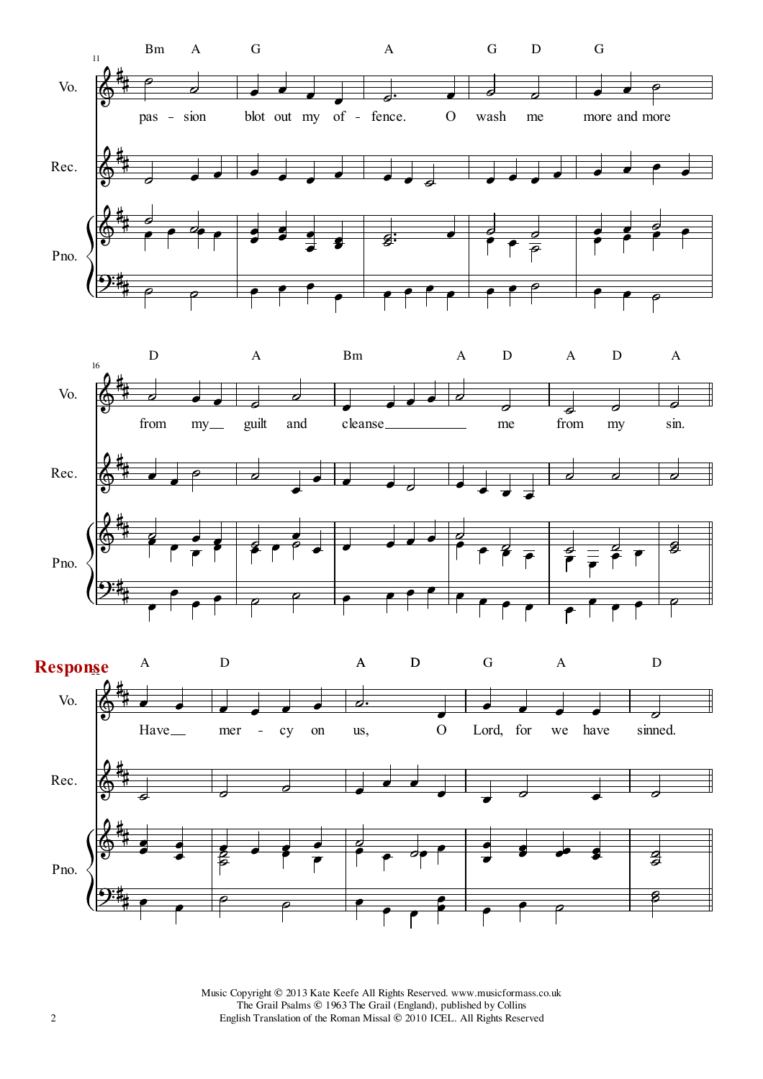



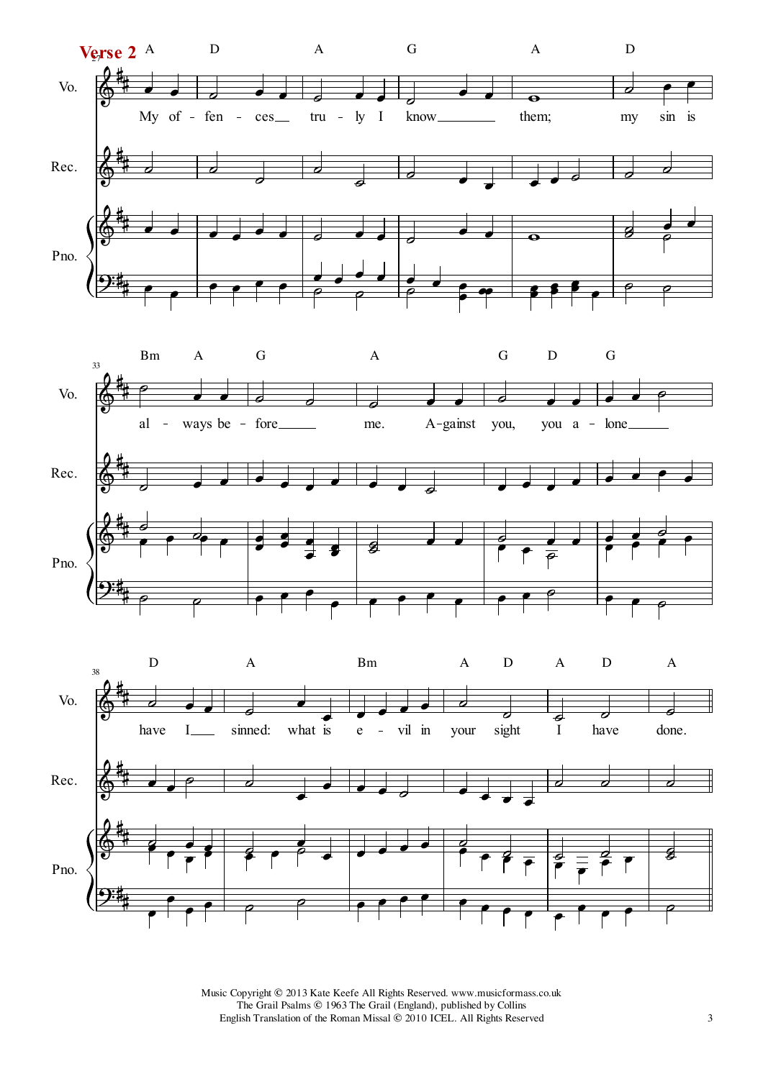



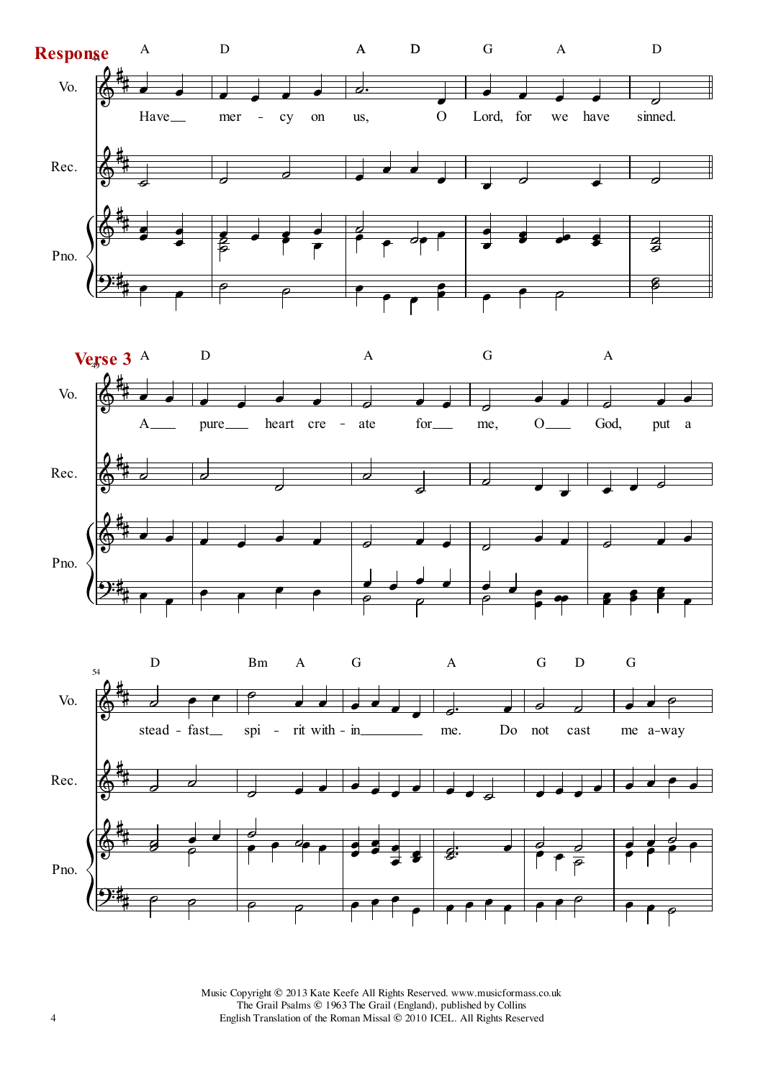



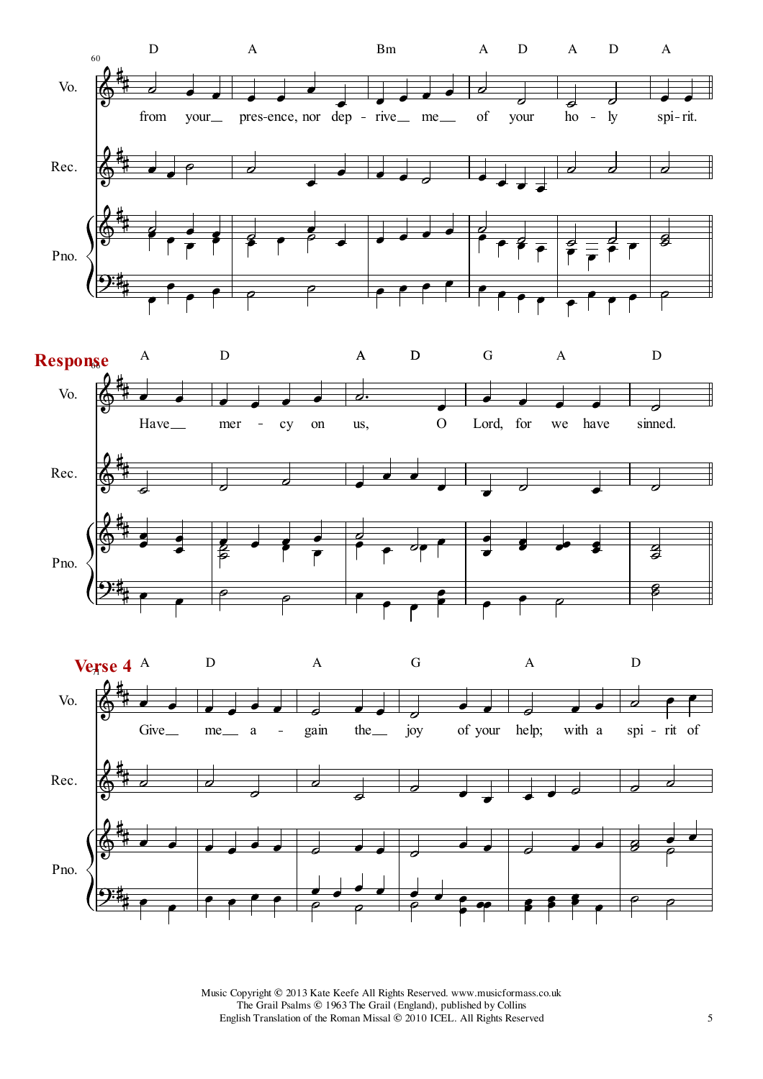